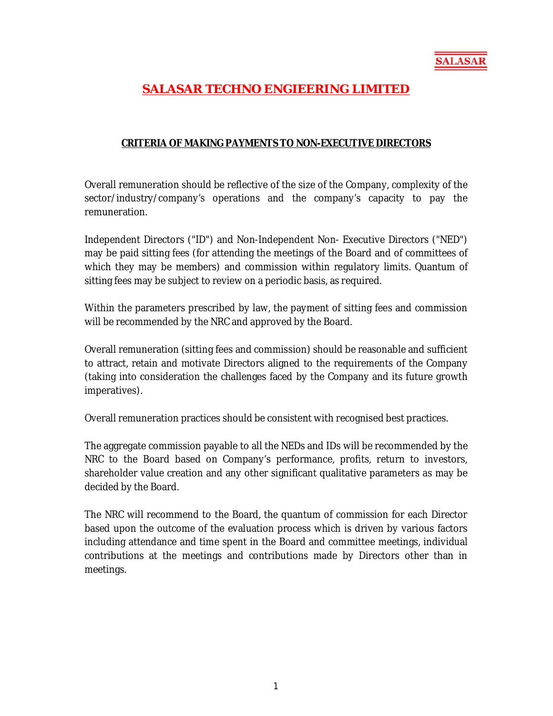

## **SALASAR TECHNO ENGIEERING LIMITED**

## **CRITERIA OF MAKING PAYMENTS TO NON-EXECUTIVE DIRECTORS**

Overall remuneration should be reflective of the size of the Company, complexity of the sector/industry/company's operations and the company's capacity to pay the remuneration.

Independent Directors ("ID") and Non-Independent Non- Executive Directors ("NED") may be paid sitting fees (for attending the meetings of the Board and of committees of which they may be members) and commission within regulatory limits. Quantum of sitting fees may be subject to review on a periodic basis, as required.

Within the parameters prescribed by law, the payment of sitting fees and commission will be recommended by the NRC and approved by the Board.

Overall remuneration (sitting fees and commission) should be reasonable and sufficient to attract, retain and motivate Directors aligned to the requirements of the Company (taking into consideration the challenges faced by the Company and its future growth imperatives).

Overall remuneration practices should be consistent with recognised best practices.

The aggregate commission payable to all the NEDs and IDs will be recommended by the NRC to the Board based on Company's performance, profits, return to investors, shareholder value creation and any other significant qualitative parameters as may be decided by the Board.

The NRC will recommend to the Board, the quantum of commission for each Director based upon the outcome of the evaluation process which is driven by various factors including attendance and time spent in the Board and committee meetings, individual contributions at the meetings and contributions made by Directors other than in meetings.